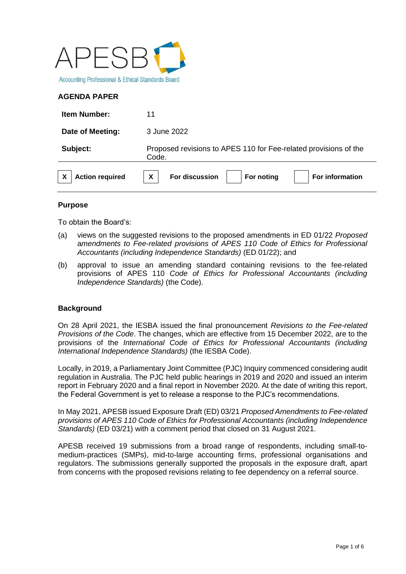

# **AGENDA PAPER**

| <b>Item Number:</b>    | 11                                                                        |
|------------------------|---------------------------------------------------------------------------|
| Date of Meeting:       | 3 June 2022                                                               |
| Subject:               | Proposed revisions to APES 110 for Fee-related provisions of the<br>Code. |
| <b>Action required</b> | X<br>For discussion<br>For information<br>For noting                      |

## **Purpose**

To obtain the Board's:

- (a) views on the suggested revisions to the proposed amendments in ED 01/22 *Proposed* a*mendments to Fee-related provisions of APES 110 Code of Ethics for Professional Accountants (including Independence Standards)* (ED 01/22); and
- (b) approval to issue an amending standard containing revisions to the fee-related provisions of APES 110 *Code of Ethics for Professional Accountants (including Independence Standards)* (the Code).

## **Background**

On 28 April 2021, the IESBA issued the final pronouncement *Revisions to the Fee-related Provisions of the Code*. The changes, which are effective from 15 December 2022, are to the provisions of the *International Code of Ethics for Professional Accountants (including International Independence Standards)* (the IESBA Code).

Locally, in 2019, a Parliamentary Joint Committee (PJC) Inquiry commenced considering audit regulation in Australia. The PJC held public hearings in 2019 and 2020 and issued an interim report in February 2020 and a final report in November 2020. At the date of writing this report, the Federal Government is yet to release a response to the PJC's recommendations.

In May 2021, APESB issued Exposure Draft (ED) 03/21 *Proposed Amendments to Fee-related provisions of APES 110 Code of Ethics for Professional Accountants (including Independence Standards)* (ED 03/21) with a comment period that closed on 31 August 2021.

APESB received 19 submissions from a broad range of respondents, including small-tomedium-practices (SMPs), mid-to-large accounting firms, professional organisations and regulators. The submissions generally supported the proposals in the exposure draft, apart from concerns with the proposed revisions relating to fee dependency on a referral source.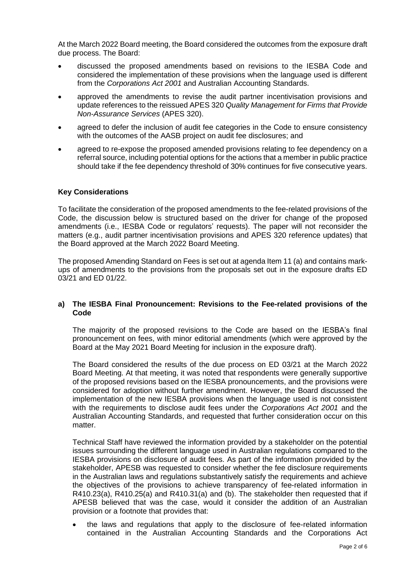At the March 2022 Board meeting, the Board considered the outcomes from the exposure draft due process. The Board:

- discussed the proposed amendments based on revisions to the IESBA Code and considered the implementation of these provisions when the language used is different from the *Corporations Act 2001* and Australian Accounting Standards.
- approved the amendments to revise the audit partner incentivisation provisions and update references to the reissued APES 320 *Quality Management for Firms that Provide Non-Assurance Services* (APES 320).
- agreed to defer the inclusion of audit fee categories in the Code to ensure consistency with the outcomes of the AASB project on audit fee disclosures; and
- agreed to re-expose the proposed amended provisions relating to fee dependency on a referral source, including potential options for the actions that a member in public practice should take if the fee dependency threshold of 30% continues for five consecutive years.

### **Key Considerations**

To facilitate the consideration of the proposed amendments to the fee-related provisions of the Code, the discussion below is structured based on the driver for change of the proposed amendments (i.e., IESBA Code or regulators' requests). The paper will not reconsider the matters (e.g., audit partner incentivisation provisions and APES 320 reference updates) that the Board approved at the March 2022 Board Meeting.

The proposed Amending Standard on Fees is set out at agenda Item 11 (a) and contains markups of amendments to the provisions from the proposals set out in the exposure drafts ED 03/21 and ED 01/22.

### **a) The IESBA Final Pronouncement: Revisions to the Fee-related provisions of the Code**

The majority of the proposed revisions to the Code are based on the IESBA's final pronouncement on fees, with minor editorial amendments (which were approved by the Board at the May 2021 Board Meeting for inclusion in the exposure draft).

The Board considered the results of the due process on ED 03/21 at the March 2022 Board Meeting. At that meeting, it was noted that respondents were generally supportive of the proposed revisions based on the IESBA pronouncements, and the provisions were considered for adoption without further amendment. However, the Board discussed the implementation of the new IESBA provisions when the language used is not consistent with the requirements to disclose audit fees under the *Corporations Act 2001* and the Australian Accounting Standards, and requested that further consideration occur on this matter.

Technical Staff have reviewed the information provided by a stakeholder on the potential issues surrounding the different language used in Australian regulations compared to the IESBA provisions on disclosure of audit fees. As part of the information provided by the stakeholder, APESB was requested to consider whether the fee disclosure requirements in the Australian laws and regulations substantively satisfy the requirements and achieve the objectives of the provisions to achieve transparency of fee-related information in R410.23(a), R410.25(a) and R410.31(a) and (b). The stakeholder then requested that if APESB believed that was the case, would it consider the addition of an Australian provision or a footnote that provides that:

• the laws and regulations that apply to the disclosure of fee-related information contained in the Australian Accounting Standards and the Corporations Act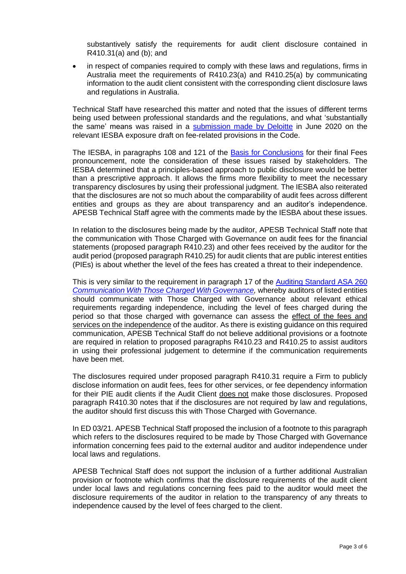substantively satisfy the requirements for audit client disclosure contained in R410.31(a) and (b); and

• in respect of companies required to comply with these laws and regulations, firms in Australia meet the requirements of R410.23(a) and R410.25(a) by communicating information to the audit client consistent with the corresponding client disclosure laws and regulations in Australia.

Technical Staff have researched this matter and noted that the issues of different terms being used between professional standards and the regulations, and what 'substantially the same' means was raised in a [submission made by Deloitte](https://www.ifac.org/system/files/publications/exposure-drafts/comments/DTTLCommentLetterFees.pdf) in June 2020 on the relevant IESBA exposure draft on fee-related provisions in the Code.

The IESBA, in paragraphs 108 and 121 of the [Basis for Conclusions](https://www.ifac.org/system/files/publications/files/Basis-for-Conclusions-Fees.pdf) for their final Fees pronouncement, note the consideration of these issues raised by stakeholders. The IESBA determined that a principles-based approach to public disclosure would be better than a prescriptive approach. It allows the firms more flexibility to meet the necessary transparency disclosures by using their professional judgment. The IESBA also reiterated that the disclosures are not so much about the comparability of audit fees across different entities and groups as they are about transparency and an auditor's independence. APESB Technical Staff agree with the comments made by the IESBA about these issues.

In relation to the disclosures being made by the auditor, APESB Technical Staff note that the communication with Those Charged with Governance on audit fees for the financial statements (proposed paragraph R410.23) and other fees received by the auditor for the audit period (proposed paragraph R410.25) for audit clients that are public interest entities (PIEs) is about whether the level of the fees has created a threat to their independence.

This is very similar to the requirement in paragraph 17 of the [Auditing Standard ASA 260](https://www.auasb.gov.au/admin/file/content102/c3/ASA_260_Compiled_2020.pdf)  *[Communication With Those Charged With Governance,](https://www.auasb.gov.au/admin/file/content102/c3/ASA_260_Compiled_2020.pdf)* whereby auditors of listed entities should communicate with Those Charged with Governance about relevant ethical requirements regarding independence, including the level of fees charged during the period so that those charged with governance can assess the effect of the fees and services on the independence of the auditor. As there is existing guidance on this required communication, APESB Technical Staff do not believe additional provisions or a footnote are required in relation to proposed paragraphs R410.23 and R410.25 to assist auditors in using their professional judgement to determine if the communication requirements have been met.

The disclosures required under proposed paragraph R410.31 require a Firm to publicly disclose information on audit fees, fees for other services, or fee dependency information for their PIE audit clients if the Audit Client does not make those disclosures. Proposed paragraph R410.30 notes that if the disclosures are not required by law and regulations, the auditor should first discuss this with Those Charged with Governance.

In ED 03/21. APESB Technical Staff proposed the inclusion of a footnote to this paragraph which refers to the disclosures required to be made by Those Charged with Governance information concerning fees paid to the external auditor and auditor independence under local laws and regulations.

APESB Technical Staff does not support the inclusion of a further additional Australian provision or footnote which confirms that the disclosure requirements of the audit client under local laws and regulations concerning fees paid to the auditor would meet the disclosure requirements of the auditor in relation to the transparency of any threats to independence caused by the level of fees charged to the client.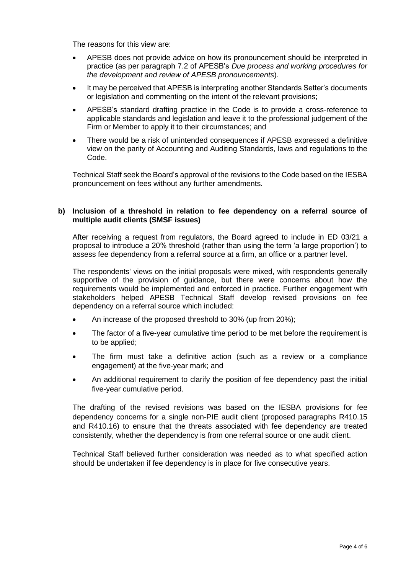The reasons for this view are:

- APESB does not provide advice on how its pronouncement should be interpreted in practice (as per paragraph 7.2 of APESB's *Due process and working procedures for the development and review of APESB pronouncements*).
- It may be perceived that APESB is interpreting another Standards Setter's documents or legislation and commenting on the intent of the relevant provisions;
- APESB's standard drafting practice in the Code is to provide a cross-reference to applicable standards and legislation and leave it to the professional judgement of the Firm or Member to apply it to their circumstances; and
- There would be a risk of unintended consequences if APESB expressed a definitive view on the parity of Accounting and Auditing Standards, laws and regulations to the Code.

Technical Staff seek the Board's approval of the revisions to the Code based on the IESBA pronouncement on fees without any further amendments.

### **b) Inclusion of a threshold in relation to fee dependency on a referral source of multiple audit clients (SMSF issues)**

After receiving a request from regulators, the Board agreed to include in ED 03/21 a proposal to introduce a 20% threshold (rather than using the term 'a large proportion') to assess fee dependency from a referral source at a firm, an office or a partner level.

The respondents' views on the initial proposals were mixed, with respondents generally supportive of the provision of guidance, but there were concerns about how the requirements would be implemented and enforced in practice. Further engagement with stakeholders helped APESB Technical Staff develop revised provisions on fee dependency on a referral source which included:

- An increase of the proposed threshold to 30% (up from 20%);
- The factor of a five-year cumulative time period to be met before the requirement is to be applied;
- The firm must take a definitive action (such as a review or a compliance engagement) at the five-year mark; and
- An additional requirement to clarify the position of fee dependency past the initial five-year cumulative period.

The drafting of the revised revisions was based on the IESBA provisions for fee dependency concerns for a single non-PIE audit client (proposed paragraphs R410.15 and R410.16) to ensure that the threats associated with fee dependency are treated consistently, whether the dependency is from one referral source or one audit client.

Technical Staff believed further consideration was needed as to what specified action should be undertaken if fee dependency is in place for five consecutive years.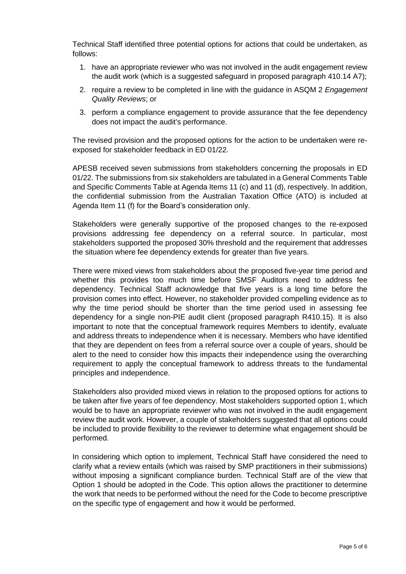Technical Staff identified three potential options for actions that could be undertaken, as follows:

- 1. have an appropriate reviewer who was not involved in the audit engagement review the audit work (which is a suggested safeguard in proposed paragraph 410.14 A7);
- 2. require a review to be completed in line with the guidance in ASQM 2 *Engagement Quality Reviews*; or
- 3. perform a compliance engagement to provide assurance that the fee dependency does not impact the audit's performance.

The revised provision and the proposed options for the action to be undertaken were reexposed for stakeholder feedback in ED 01/22.

APESB received seven submissions from stakeholders concerning the proposals in ED 01/22. The submissions from six stakeholders are tabulated in a General Comments Table and Specific Comments Table at Agenda Items 11 (c) and 11 (d), respectively. In addition, the confidential submission from the Australian Taxation Office (ATO) is included at Agenda Item 11 (f) for the Board's consideration only.

Stakeholders were generally supportive of the proposed changes to the re-exposed provisions addressing fee dependency on a referral source. In particular, most stakeholders supported the proposed 30% threshold and the requirement that addresses the situation where fee dependency extends for greater than five years.

There were mixed views from stakeholders about the proposed five-year time period and whether this provides too much time before SMSF Auditors need to address fee dependency. Technical Staff acknowledge that five years is a long time before the provision comes into effect. However, no stakeholder provided compelling evidence as to why the time period should be shorter than the time period used in assessing fee dependency for a single non-PIE audit client (proposed paragraph R410.15). It is also important to note that the conceptual framework requires Members to identify, evaluate and address threats to independence when it is necessary. Members who have identified that they are dependent on fees from a referral source over a couple of years, should be alert to the need to consider how this impacts their independence using the overarching requirement to apply the conceptual framework to address threats to the fundamental principles and independence.

Stakeholders also provided mixed views in relation to the proposed options for actions to be taken after five years of fee dependency. Most stakeholders supported option 1, which would be to have an appropriate reviewer who was not involved in the audit engagement review the audit work. However, a couple of stakeholders suggested that all options could be included to provide flexibility to the reviewer to determine what engagement should be performed.

In considering which option to implement, Technical Staff have considered the need to clarify what a review entails (which was raised by SMP practitioners in their submissions) without imposing a significant compliance burden. Technical Staff are of the view that Option 1 should be adopted in the Code. This option allows the practitioner to determine the work that needs to be performed without the need for the Code to become prescriptive on the specific type of engagement and how it would be performed.